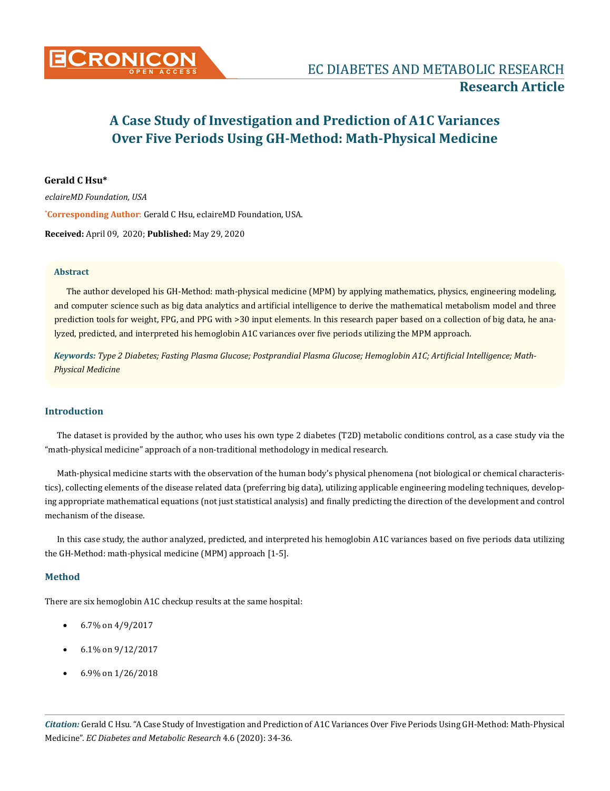

# **A Case Study of Investigation and Prediction of A1C Variances Over Five Periods Using GH-Method: Math-Physical Medicine**

## **Gerald C Hsu\***

**\* Corresponding Author**: Gerald C Hsu, eclaireMD Foundation, USA. **Received:** April 09, 2020; **Published:** May 29, 2020 *eclaireMD Foundation, USA*

#### **Abstract**

The author developed his GH-Method: math-physical medicine (MPM) by applying mathematics, physics, engineering modeling, and computer science such as big data analytics and artificial intelligence to derive the mathematical metabolism model and three prediction tools for weight, FPG, and PPG with >30 input elements. In this research paper based on a collection of big data, he analyzed, predicted, and interpreted his hemoglobin A1C variances over five periods utilizing the MPM approach.

*Keywords: Type 2 Diabetes; Fasting Plasma Glucose; Postprandial Plasma Glucose; Hemoglobin A1C; Artificial Intelligence; Math-Physical Medicine*

## **Introduction**

The dataset is provided by the author, who uses his own type 2 diabetes (T2D) metabolic conditions control, as a case study via the "math-physical medicine" approach of a non-traditional methodology in medical research.

Math-physical medicine starts with the observation of the human body's physical phenomena (not biological or chemical characteristics), collecting elements of the disease related data (preferring big data), utilizing applicable engineering modeling techniques, developing appropriate mathematical equations (not just statistical analysis) and finally predicting the direction of the development and control mechanism of the disease.

In this case study, the author analyzed, predicted, and interpreted his hemoglobin A1C variances based on five periods data utilizing the GH-Method: math-physical medicine (MPM) approach [1-5].

## **Method**

There are six hemoglobin A1C checkup results at the same hospital:

- 6.7% on 4/9/2017
- 6.1% on 9/12/2017
- 6.9% on 1/26/2018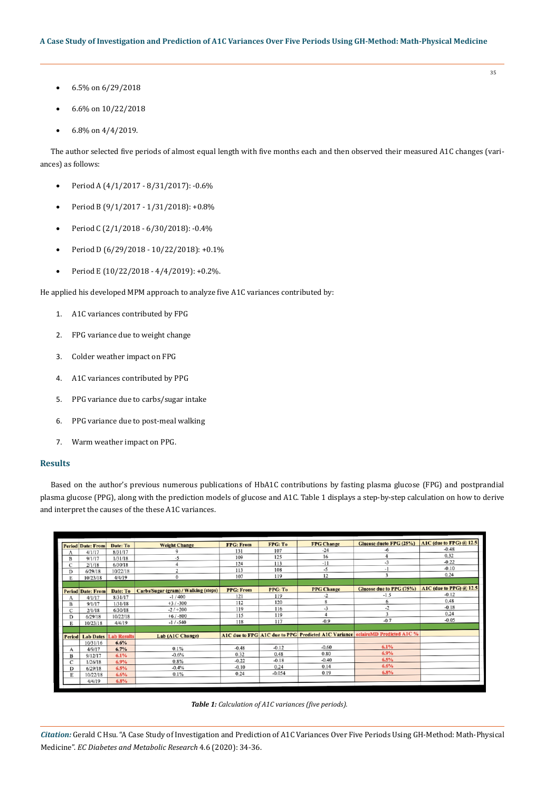- 6.5% on 6/29/2018
- 6.6% on 10/22/2018
- 6.8% on 4/4/2019.

The author selected five periods of almost equal length with five months each and then observed their measured A1C changes (variances) as follows:

- Period A (4/1/2017 8/31/2017): -0.6%
- • Period B (9/1/2017 1/31/2018): +0.8%
- • Period C (2/1/2018 6/30/2018): -0.4%
- • Period D (6/29/2018 10/22/2018): +0.1%
- Period E (10/22/2018 4/4/2019): +0.2%.

He applied his developed MPM approach to analyze five A1C variances contributed by:

- 1. A1C variances contributed by FPG
- 2. FPG variance due to weight change
- 3. Colder weather impact on FPG
- 4. A1C variances contributed by PPG
- 5. PPG variance due to carbs/sugar intake
- 6. PPG variance due to post-meal walking
- 7. Warm weather impact on PPG.

#### **Results**

Based on the author's previous numerous publications of HbA1C contributions by fasting plasma glucose (FPG) and postprandial plasma glucose (PPG), along with the prediction models of glucose and A1C. Table 1 displays a step-by-step calculation on how to derive and interpret the causes of the these A1C variances.

|               | <b>Period Date: From</b> | Date: To                     | <b>Weight Change</b>                 | <b>FPG: From</b> | FPG: To  | <b>FPG Change</b> | Glucose dueto FPG (25%)                                                        | A1C (due to FPG) @ 12.5 |
|---------------|--------------------------|------------------------------|--------------------------------------|------------------|----------|-------------------|--------------------------------------------------------------------------------|-------------------------|
| A             | 4/1/17                   | 8/31/17                      |                                      | 131              | 107      | $-24$             | -6                                                                             | $-0.48$                 |
| B             | 9/1/17                   | 1/31/18                      | -5                                   | 109              | 125      | 16                |                                                                                | 0.32                    |
| С             | 2/1/18                   | 6/30/18                      |                                      | 124              | 113      | $-11$             | $-3$                                                                           | $-0.22$                 |
| D             | 6/29/18                  | 10/22/18                     | n,                                   | 113              | 108      | $-5$              | $-1$                                                                           | $-0.10$                 |
| E             | 10/23/18                 | 4/4/19                       | $\Omega$                             | 107              | 119      | 12                | 3                                                                              | 0.24                    |
|               |                          |                              |                                      |                  |          |                   |                                                                                |                         |
|               | <b>Period Date: From</b> | Date: To                     | Carbs/Sugar (gram) / Walking (steps) | <b>PPG: From</b> | PPG: To  | <b>PPG Change</b> | Glucose due to PPG (75%)                                                       | A1C (due to PPG) @ 12.5 |
| A             | 4/1/17                   | 8/31/17                      | $-1/400$                             | 121              | 119      | -2                | $-1.5$                                                                         | $-0.12$                 |
| B             | 9/1/17                   | 1/31/18                      | $+3/ -300$                           | 112              | 120      | 8                 | 6                                                                              | 0.48                    |
| C             | 2/1/18                   | 6/30/18                      | $-2/1+200$                           | 119              | 116      | $-3$              | $-2$                                                                           | $-0.18$                 |
| D             | 6/29/18                  | 10/22/18                     | $+6/ -800$                           | 115              | 119      | $\overline{4}$    | 3                                                                              | 0.24                    |
| E             | 10/23/18                 | 4/4/19                       | $-1/ -540$                           | 118              | 117      | $-0.9$            | $-0.7$                                                                         | $-0.05$                 |
|               |                          |                              |                                      |                  |          |                   |                                                                                |                         |
|               |                          | <b>Lab Dates Lab Results</b> | Lab (A1C Change)                     |                  |          |                   | A1C due to FPG A1C due to PPG Predicted A1C Variance eclaireMD Predicted A1C % |                         |
| <b>Period</b> |                          | 6.6%                         |                                      |                  |          |                   |                                                                                |                         |
|               | 10/31/16<br>4/9/17       | 6.7%                         | 0.1%                                 | $-0.48$          | $-0.12$  | $-0.60$           | 6.1%                                                                           |                         |
| А             |                          | 6.1%                         | $-0.6%$                              | 0.32             | 0.48     | 0.80              | 6.9%                                                                           |                         |
| B             | 9/12/17                  |                              | 0.8%                                 | $-0.22$          | $-0.18$  | $-0.40$           | 6.5%                                                                           |                         |
| C             | 1/26/18                  | 6.9%                         |                                      | $-0.10$          | 0.24     | 0.14              | 6.6%                                                                           |                         |
| D             | 6/29/18                  | 6.5%                         | $-0.4%$                              |                  | $-0.054$ | 0.19              | 6.8%                                                                           |                         |
| E             | 10/22/18                 | 6.6%                         | 0.1%                                 | 0.24             |          |                   |                                                                                |                         |
|               | 4/4/19                   | 6.8%                         |                                      |                  |          |                   |                                                                                |                         |



*Citation:* Gerald C Hsu*.* "A Case Study of Investigation and Prediction of A1C Variances Over Five Periods Using GH-Method: Math-Physical Medicine". *EC Diabetes and Metabolic Research* 4.6 (2020): 34-36.